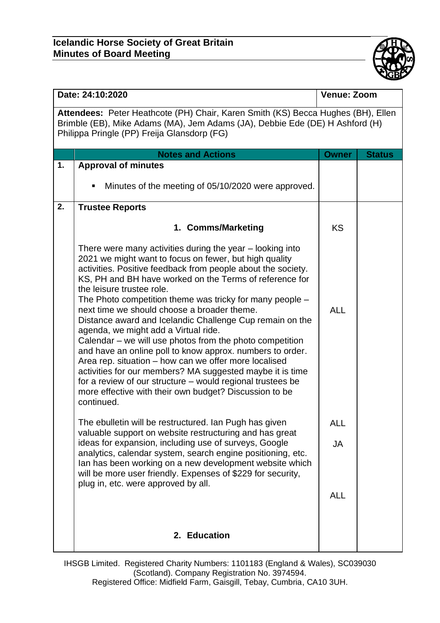

| Date: 24:10:2020                                                                                                                                                                                                |                                                                                                                                                                                                                                                                                                                                                                                                                                                                                                                                                                                                                                                                                                                                                                                                                                                                                 | <b>Venue: Zoom</b> |               |  |  |
|-----------------------------------------------------------------------------------------------------------------------------------------------------------------------------------------------------------------|---------------------------------------------------------------------------------------------------------------------------------------------------------------------------------------------------------------------------------------------------------------------------------------------------------------------------------------------------------------------------------------------------------------------------------------------------------------------------------------------------------------------------------------------------------------------------------------------------------------------------------------------------------------------------------------------------------------------------------------------------------------------------------------------------------------------------------------------------------------------------------|--------------------|---------------|--|--|
| Attendees: Peter Heathcote (PH) Chair, Karen Smith (KS) Becca Hughes (BH), Ellen<br>Brimble (EB), Mike Adams (MA), Jem Adams (JA), Debbie Ede (DE) H Ashford (H)<br>Philippa Pringle (PP) Freija Glansdorp (FG) |                                                                                                                                                                                                                                                                                                                                                                                                                                                                                                                                                                                                                                                                                                                                                                                                                                                                                 |                    |               |  |  |
|                                                                                                                                                                                                                 | <b>Notes and Actions</b>                                                                                                                                                                                                                                                                                                                                                                                                                                                                                                                                                                                                                                                                                                                                                                                                                                                        | <b>Owner</b>       | <b>Status</b> |  |  |
| 1.                                                                                                                                                                                                              | <b>Approval of minutes</b><br>Minutes of the meeting of 05/10/2020 were approved.                                                                                                                                                                                                                                                                                                                                                                                                                                                                                                                                                                                                                                                                                                                                                                                               |                    |               |  |  |
| 2.                                                                                                                                                                                                              | <b>Trustee Reports</b>                                                                                                                                                                                                                                                                                                                                                                                                                                                                                                                                                                                                                                                                                                                                                                                                                                                          |                    |               |  |  |
|                                                                                                                                                                                                                 | 1. Comms/Marketing                                                                                                                                                                                                                                                                                                                                                                                                                                                                                                                                                                                                                                                                                                                                                                                                                                                              | <b>KS</b>          |               |  |  |
|                                                                                                                                                                                                                 | There were many activities during the year – looking into<br>2021 we might want to focus on fewer, but high quality<br>activities. Positive feedback from people about the society.<br>KS, PH and BH have worked on the Terms of reference for<br>the leisure trustee role.<br>The Photo competition theme was tricky for many people –<br>next time we should choose a broader theme.<br>Distance award and Icelandic Challenge Cup remain on the<br>agenda, we might add a Virtual ride.<br>Calendar – we will use photos from the photo competition<br>and have an online poll to know approx. numbers to order.<br>Area rep. situation – how can we offer more localised<br>activities for our members? MA suggested maybe it is time<br>for a review of our structure – would regional trustees be<br>more effective with their own budget? Discussion to be<br>continued. | <b>ALL</b>         |               |  |  |
|                                                                                                                                                                                                                 | The ebulletin will be restructured. Ian Pugh has given<br>valuable support on website restructuring and has great                                                                                                                                                                                                                                                                                                                                                                                                                                                                                                                                                                                                                                                                                                                                                               | <b>ALL</b>         |               |  |  |
|                                                                                                                                                                                                                 | ideas for expansion, including use of surveys, Google<br>analytics, calendar system, search engine positioning, etc.<br>Ian has been working on a new development website which<br>will be more user friendly. Expenses of \$229 for security,<br>plug in, etc. were approved by all.                                                                                                                                                                                                                                                                                                                                                                                                                                                                                                                                                                                           | <b>JA</b>          |               |  |  |
|                                                                                                                                                                                                                 |                                                                                                                                                                                                                                                                                                                                                                                                                                                                                                                                                                                                                                                                                                                                                                                                                                                                                 | <b>ALL</b>         |               |  |  |
|                                                                                                                                                                                                                 | 2. Education                                                                                                                                                                                                                                                                                                                                                                                                                                                                                                                                                                                                                                                                                                                                                                                                                                                                    |                    |               |  |  |

IHSGB Limited. Registered Charity Numbers: 1101183 (England & Wales), SC039030 (Scotland). Company Registration No. 3974594. Registered Office: Midfield Farm, Gaisgill, Tebay, Cumbria, CA10 3UH.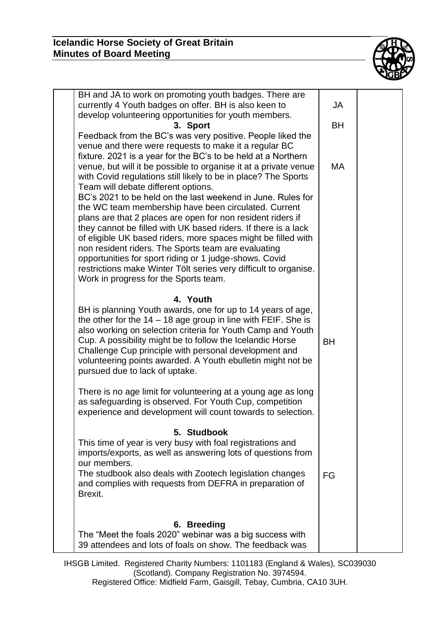

| BH and JA to work on promoting youth badges. There are<br>currently 4 Youth badges on offer. BH is also keen to<br>develop volunteering opportunities for youth members.<br>3. Sport<br>Feedback from the BC's was very positive. People liked the<br>venue and there were requests to make it a regular BC<br>fixture. 2021 is a year for the BC's to be held at a Northern<br>venue, but will it be possible to organise it at a private venue<br>with Covid regulations still likely to be in place? The Sports<br>Team will debate different options.<br>BC's 2021 to be held on the last weekend in June. Rules for<br>the WC team membership have been circulated. Current<br>plans are that 2 places are open for non resident riders if<br>they cannot be filled with UK based riders. If there is a lack<br>of eligible UK based riders, more spaces might be filled with<br>non resident riders. The Sports team are evaluating<br>opportunities for sport riding or 1 judge-shows. Covid<br>restrictions make Winter Tölt series very difficult to organise.<br>Work in progress for the Sports team. | JA<br><b>BH</b><br><b>MA</b> |  |
|------------------------------------------------------------------------------------------------------------------------------------------------------------------------------------------------------------------------------------------------------------------------------------------------------------------------------------------------------------------------------------------------------------------------------------------------------------------------------------------------------------------------------------------------------------------------------------------------------------------------------------------------------------------------------------------------------------------------------------------------------------------------------------------------------------------------------------------------------------------------------------------------------------------------------------------------------------------------------------------------------------------------------------------------------------------------------------------------------------------|------------------------------|--|
| 4. Youth<br>BH is planning Youth awards, one for up to 14 years of age,<br>the other for the $14 - 18$ age group in line with FEIF. She is<br>also working on selection criteria for Youth Camp and Youth<br>Cup. A possibility might be to follow the Icelandic Horse<br>Challenge Cup principle with personal development and<br>volunteering points awarded. A Youth ebulletin might not be<br>pursued due to lack of uptake.<br>There is no age limit for volunteering at a young age as long<br>as safeguarding is observed. For Youth Cup, competition                                                                                                                                                                                                                                                                                                                                                                                                                                                                                                                                                     | <b>BH</b>                    |  |
| experience and development will count towards to selection.<br>5. Studbook<br>This time of year is very busy with foal registrations and<br>imports/exports, as well as answering lots of questions from<br>our members.<br>The studbook also deals with Zootech legislation changes<br>and complies with requests from DEFRA in preparation of<br>Brexit.<br>6. Breeding<br>The "Meet the foals 2020" webinar was a big success with<br>39 attendees and lots of foals on show. The feedback was                                                                                                                                                                                                                                                                                                                                                                                                                                                                                                                                                                                                                | FG                           |  |

IHSGB Limited. Registered Charity Numbers: 1101183 (England & Wales), SC039030 (Scotland). Company Registration No. 3974594. Registered Office: Midfield Farm, Gaisgill, Tebay, Cumbria, CA10 3UH.